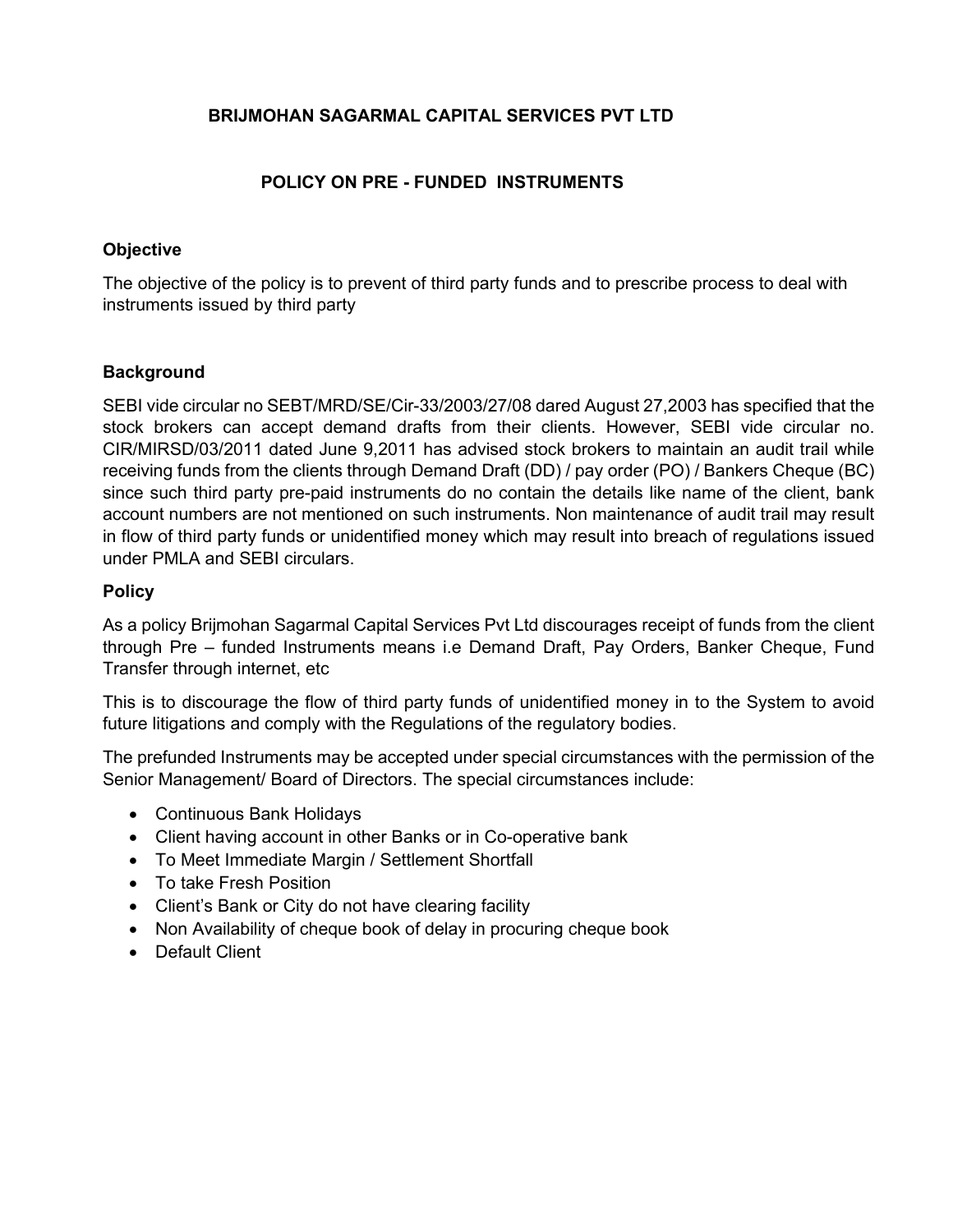### **BRIJMOHAN SAGARMAL CAPITAL SERVICES PVT LTD**

# **POLICY ON PRE - FUNDED INSTRUMENTS**

## **Objective**

The objective of the policy is to prevent of third party funds and to prescribe process to deal with instruments issued by third party

### **Background**

SEBI vide circular no SEBT/MRD/SE/Cir-33/2003/27/08 dared August 27,2003 has specified that the stock brokers can accept demand drafts from their clients. However, SEBI vide circular no. CIR/MIRSD/03/2011 dated June 9,2011 has advised stock brokers to maintain an audit trail while receiving funds from the clients through Demand Draft (DD) / pay order (PO) / Bankers Cheque (BC) since such third party pre-paid instruments do no contain the details like name of the client, bank account numbers are not mentioned on such instruments. Non maintenance of audit trail may result in flow of third party funds or unidentified money which may result into breach of regulations issued under PMLA and SEBI circulars.

### **Policy**

As a policy Brijmohan Sagarmal Capital Services Pvt Ltd discourages receipt of funds from the client through Pre – funded Instruments means i.e Demand Draft, Pay Orders, Banker Cheque, Fund Transfer through internet, etc

This is to discourage the flow of third party funds of unidentified money in to the System to avoid future litigations and comply with the Regulations of the regulatory bodies.

The prefunded Instruments may be accepted under special circumstances with the permission of the Senior Management/ Board of Directors. The special circumstances include:

- Continuous Bank Holidays
- Client having account in other Banks or in Co-operative bank
- To Meet Immediate Margin / Settlement Shortfall
- To take Fresh Position
- Client's Bank or City do not have clearing facility
- Non Availability of cheque book of delay in procuring cheque book
- Default Client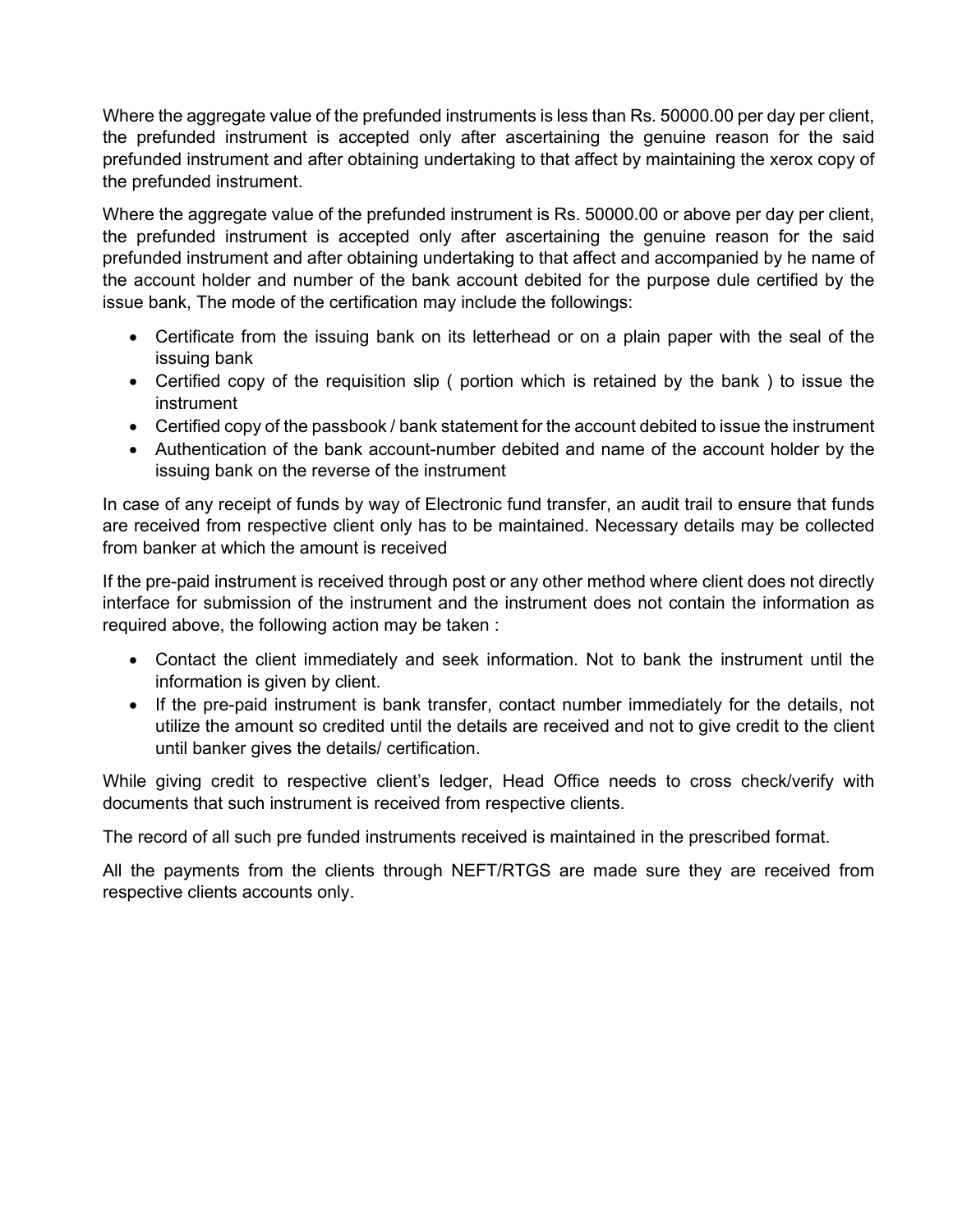Where the aggregate value of the prefunded instruments is less than Rs. 50000.00 per day per client, the prefunded instrument is accepted only after ascertaining the genuine reason for the said prefunded instrument and after obtaining undertaking to that affect by maintaining the xerox copy of the prefunded instrument.

Where the aggregate value of the prefunded instrument is Rs. 50000.00 or above per day per client, the prefunded instrument is accepted only after ascertaining the genuine reason for the said prefunded instrument and after obtaining undertaking to that affect and accompanied by he name of the account holder and number of the bank account debited for the purpose dule certified by the issue bank, The mode of the certification may include the followings:

- Certificate from the issuing bank on its letterhead or on a plain paper with the seal of the issuing bank
- Certified copy of the requisition slip ( portion which is retained by the bank ) to issue the instrument
- Certified copy of the passbook / bank statement for the account debited to issue the instrument
- Authentication of the bank account-number debited and name of the account holder by the issuing bank on the reverse of the instrument

In case of any receipt of funds by way of Electronic fund transfer, an audit trail to ensure that funds are received from respective client only has to be maintained. Necessary details may be collected from banker at which the amount is received

If the pre-paid instrument is received through post or any other method where client does not directly interface for submission of the instrument and the instrument does not contain the information as required above, the following action may be taken :

- Contact the client immediately and seek information. Not to bank the instrument until the information is given by client.
- If the pre-paid instrument is bank transfer, contact number immediately for the details, not utilize the amount so credited until the details are received and not to give credit to the client until banker gives the details/ certification.

While giving credit to respective client's ledger, Head Office needs to cross check/verify with documents that such instrument is received from respective clients.

The record of all such pre funded instruments received is maintained in the prescribed format.

All the payments from the clients through NEFT/RTGS are made sure they are received from respective clients accounts only.